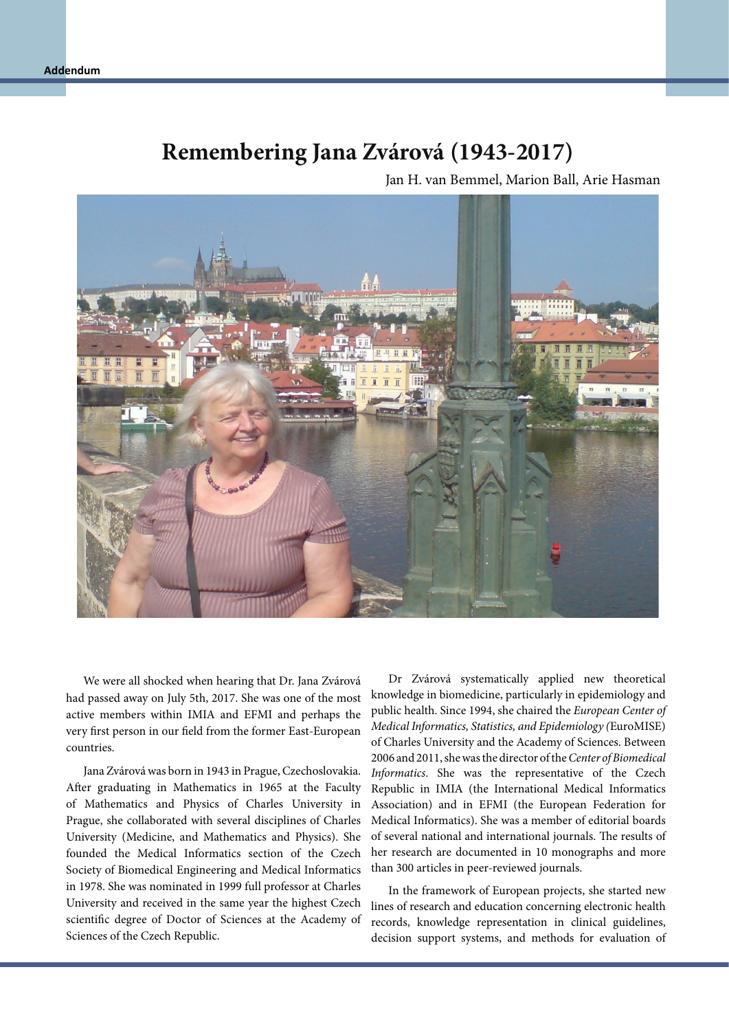## **Remembering Jana Zvárová (1943-2017)**

Jan H. van Bemmel, Marion Ball, Arie Hasman



We were all shocked when hearing that Dr. Jana Zvárová had passed away on July 5th, 2017. She was one of the most active members within IMIA and EFMI and perhaps the very first person in our field from the former East-European countries.

Jana Zvárová was born in 1943 in Prague, Czechoslovakia. After graduating in Mathematics in 1965 at the Faculty of Mathematics and Physics of Charles University in Prague, she collaborated with several disciplines of Charles University (Medicine, and Mathematics and Physics). She founded the Medical Informatics section of the Czech Society of Biomedical Engineering and Medical Informatics in 1978. She was nominated in 1999 full professor at Charles University and received in the same year the highest Czech scientific degree of Doctor of Sciences at the Academy of Sciences of the Czech Republic.

Dr Zvárová systematically applied new theoretical knowledge in biomedicine, particularly in epidemiology and public health. Since 1994, she chaired the *European Center of Medical Informatics, Statistics, and Epidemiology (*EuroMISE) of Charles University and the Academy of Sciences. Between 2006 and 2011, she was the director of the *Center of Biomedical Informatics*. She was the representative of the Czech Republic in IMIA (the International Medical Informatics Association) and in EFMI (the European Federation for Medical Informatics). She was a member of editorial boards of several national and international journals. The results of her research are documented in 10 monographs and more than 300 articles in peer-reviewed journals.

In the framework of European projects, she started new lines of research and education concerning electronic health records, knowledge representation in clinical guidelines, decision support systems, and methods for evaluation of